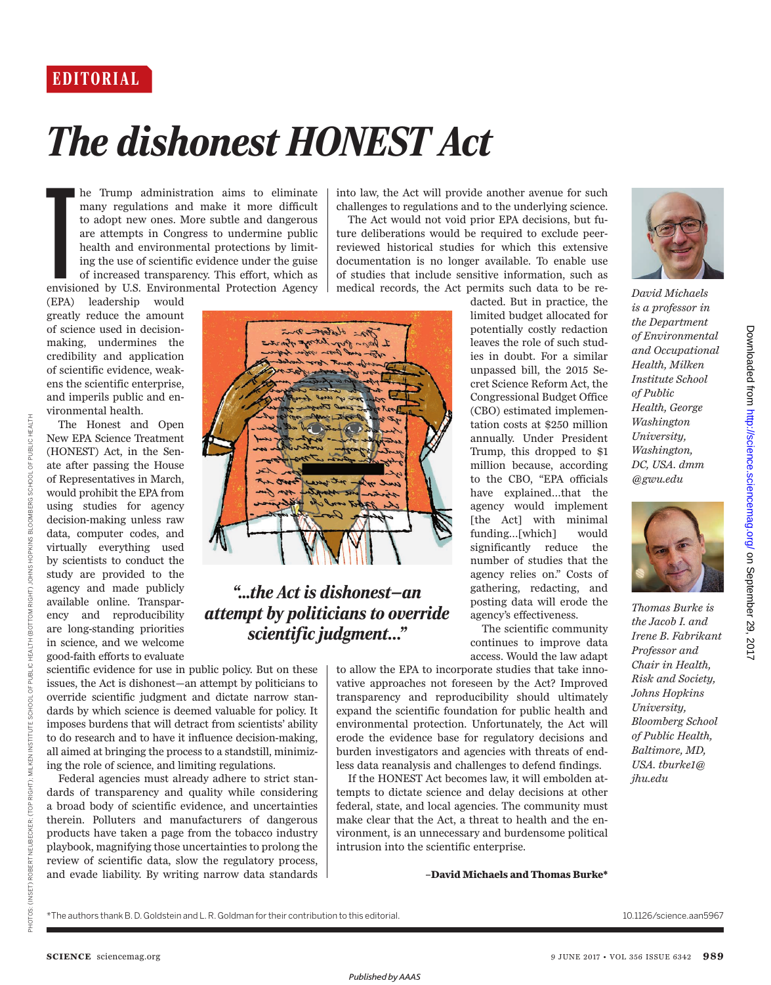## *The dishonest HONEST Act*

Example:<br>The envisions of the set of the set of the set of the set of the set of the set of the set of the set of the set of the set of the set of the set of the set of the set of the set of the set of the set of the set o he Trump administration aims to eliminate many regulations and make it more difficult to adopt new ones. More subtle and dangerous are attempts in Congress to undermine public health and environmental protections by limiting the use of scientific evidence under the guise of increased transparency. This effort, which as envisioned by U.S. Environmental Protection Agency

(EPA) leadership would greatly reduce the amount of science used in decisionmaking, undermines the credibility and application of scientific evidence, weakens the scientific enterprise, and imperils public and environmental health.

The Honest and Open New EPA Science Treatment (HONEST) Act, in the Senate after passing the House of Representatives in March, would prohibit the EPA from using studies for agency decision-making unless raw data, computer codes, and virtually everything used by scientists to conduct the study are provided to the agency and made publicly available online. Transparency and reproducibility are long-standing priorities in science, and we welcome good-faith efforts to evaluate

PHOTOS: (INSET) ROBERT NEUBECKER; (INSET) ROBERT NEUBECKER; (INSTITUTE SCHOOL OF PUBLIC HEALTH (INSET) IN STOR ASSETT AND RIGHT) IN STORAGE (INSET) IN SOLOHA

PHOTOS: (INSET) ROBERT NEUBECKER; (TOP RIGHT); MILKEN INSTITUTE SCHOOL

OF PUBLIC HEALTH (BOTTOM

HOPKINS BLOOMBERG SCHOOL OF PUBLIC HEALTH

RIGHT) JOHNS



## *"...the Act is dishonest—an attempt by politicians to override scientific judgment…"*

scientific evidence for use in public policy. But on these issues, the Act is dishonest —an attempt by politicians to override scientific judgment and dictate narrow standards by which science is deemed valuable for policy. It imposes burdens that will detract from scientists' ability to do research and to have it influence decision-making, all aimed at bringing the process to a standstill, minimizing the role of science, and limiting regulations.

Federal agencies must already adhere to strict standards of transparency and quality while considering a broad body of scientific evidence, and uncertainties therein. Polluters and manufacturers of dangerous products have taken a page from the tobacco industry playbook, magnifying those uncertainties to prolong the review of scientific data, slow the regulatory process, and evade liability. By writing narrow data standards

into law, the Act will provide another avenue for such challenges to regulations and to the underlying science.

The Act would not void prior EPA decisions, but future deliberations would be required to exclude peerreviewed historical studies for which this extensive documentation is no longer available. To enable use of studies that include sensitive information, such as medical records, the Act permits such data to be re-

dacted. But in practice, the limited budget allocated for potentially costly redaction leaves the role of such studies in doubt. For a similar unpassed bill, the 2015 Secret Science Reform Act, the Congressional Budget Office (CBO) estimated implementation costs at \$250 million annually. Under President Trump, this dropped to \$1 million because, according to the CBO, "EPA officials have explained…that the agency would implement [the Act] with minimal funding…[which] would significantly reduce the number of studies that the agency relies on." Costs of gathering, redacting, and posting data will erode the agency's effectiveness.

The scientific community continues to improve data access. Would the law adapt

to allow the EPA to incorporate studies that take innovative approaches not foreseen by the Act? Improved transparency and reproducibility should ultimately expand the scientific foundation for public health and environmental protection. Unfortunately, the Act will erode the evidence base for regulatory decisions and burden investigators and agencies with threats of endless data reanalysis and challenges to defend findings.

If the HONEST Act becomes law, it will embolden attempts to dictate science and delay decisions at other federal, state, and local agencies. The community must make clear that the Act, a threat to health and the environment, is an unnecessary and burdensome political intrusion into the scientific enterprise.

**–David Michaels and Thomas Burke\*** 



*David Michaels is a professor in the Department of Environmental and Occupational Health, Milken Institute School of Public Health, George Washington University, Washington, DC, USA. dmm @gwu.edu* 



*Thomas Burke is the Jacob I. and Irene B. Fabrikant Professor and Chair in Health, Risk and Society, Johns Hopkins University, Bloomberg School of Public Health, Baltimore, MD, USA. tburke1@ jhu.edu*

Downloaded from http://science.sciencemag.org/ on September 29, 2017 Downloaded from <http://science.sciencemag.org/> on September 29, 2017